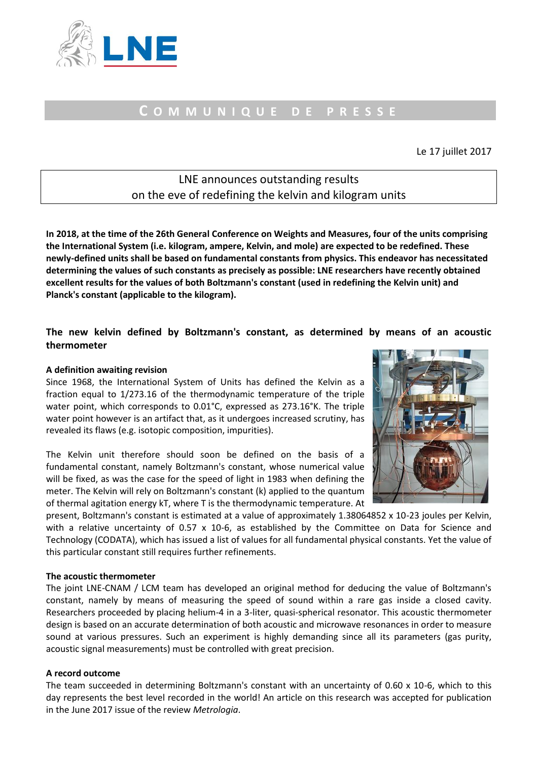

# **C O M M U N I Q U E D E P R E S S E**

Le 17 juillet 2017

## LNE announces outstanding results on the eve of redefining the kelvin and kilogram units

**In 2018, at the time of the 26th General Conference on Weights and Measures, four of the units comprising the International System (i.e. kilogram, ampere, Kelvin, and mole) are expected to be redefined. These newly-defined units shall be based on fundamental constants from physics. This endeavor has necessitated determining the values of such constants as precisely as possible: LNE researchers have recently obtained excellent results for the values of both Boltzmann's constant (used in redefining the Kelvin unit) and Planck's constant (applicable to the kilogram).**

## **The new kelvin defined by Boltzmann's constant, as determined by means of an acoustic thermometer**

## **A definition awaiting revision**

Since 1968, the International System of Units has defined the Kelvin as a fraction equal to 1/273.16 of the thermodynamic temperature of the triple water point, which corresponds to 0.01°C, expressed as 273.16°K. The triple water point however is an artifact that, as it undergoes increased scrutiny, has revealed its flaws (e.g. isotopic composition, impurities).

The Kelvin unit therefore should soon be defined on the basis of a fundamental constant, namely Boltzmann's constant, whose numerical value will be fixed, as was the case for the speed of light in 1983 when defining the meter. The Kelvin will rely on Boltzmann's constant (k) applied to the quantum of thermal agitation energy kT, where T is the thermodynamic temperature. At



present, Boltzmann's constant is estimated at a value of approximately 1.38064852 x 10-23 joules per Kelvin, with a relative uncertainty of 0.57 x 10-6, as established by the Committee on Data for Science and Technology (CODATA), which has issued a list of values for all fundamental physical constants. Yet the value of this particular constant still requires further refinements.

### **The acoustic thermometer**

The joint LNE-CNAM / LCM team has developed an original method for deducing the value of Boltzmann's constant, namely by means of measuring the speed of sound within a rare gas inside a closed cavity. Researchers proceeded by placing helium-4 in a 3-liter, quasi-spherical resonator. This acoustic thermometer design is based on an accurate determination of both acoustic and microwave resonances in order to measure sound at various pressures. Such an experiment is highly demanding since all its parameters (gas purity, acoustic signal measurements) must be controlled with great precision.

## **A record outcome**

The team succeeded in determining Boltzmann's constant with an uncertainty of 0.60 x 10-6, which to this day represents the best level recorded in the world! An article on this research was accepted for publication in the June 2017 issue of the review *Metrologia*.